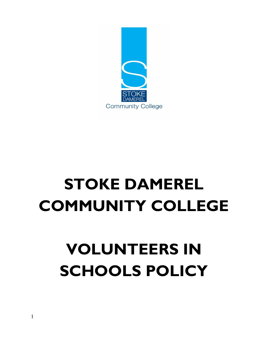# **VOLUNTEERS IN SCHOOLS POLICY**

# **STOKE DAMEREL COMMUNITY COLLEGE**

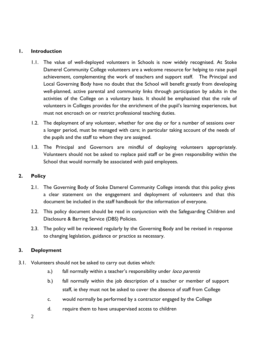## **1. Introduction**

- 1.1. The value of well-deployed volunteers in Schools is now widely recognised. At Stoke Damerel Community College volunteers are a welcome resource for helping to raise pupil achievement, complementing the work of teachers and support staff. The Principal and Local Governing Body have no doubt that the School will benefit greatly from developing well-planned, active parental and community links through participation by adults in the activities of the College on a voluntary basis. It should be emphasised that the role of volunteers in Colleges provides for the enrichment of the pupil's learning experiences, but must not encroach on or restrict professional teaching duties.
- 1.2. The deployment of any volunteer, whether for one day or for a number of sessions over a longer period, must be managed with care; in particular taking account of the needs of the pupils and the staff to whom they are assigned.
- 1.3. The Principal and Governors are mindful of deploying volunteers appropriately. Volunteers should not be asked to replace paid staff or be given responsibility within the School that would normally be associated with paid employees.

#### **2. Policy**

- 2.1. The Governing Body of Stoke Damerel Community College intends that this policy gives a clear statement on the engagement and deployment of volunteers and that this document be included in the staff handbook for the information of everyone.
- 2.2. This policy document should be read in conjunction with the Safeguarding Children and Disclosure & Barring Service (DBS) Policies.
- 2.3. The policy will be reviewed regularly by the Governing Body and be revised in response to changing legislation, guidance or practice as necessary.

# **3. Deployment**

- 3.1. Volunteers should not be asked to carry out duties which:
	- a.) fall normally within a teacher's responsibility under loco parentis
	- b.) fall normally within the job description of a teacher or member of support staff, ie they must not be asked to cover the absence of staff from College
	- c. would normally be performed by a contractor engaged by the College
	- d. require them to have unsupervised access to children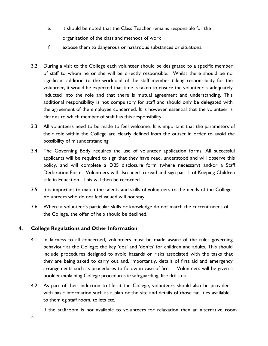- e. it should be noted that the Class Teacher remains responsible for the organisation of the class and methods of work
- f. expose them to dangerous or hazardous substances or situations.
- 3.2. During a visit to the College each volunteer should be designated to a specific member of staff to whom he or she will be directly responsible. Whilst there should be no significant addition to the workload of the staff member taking responsibility for the volunteer, it would be expected that time is taken to ensure the volunteer is adequately inducted into the role and that there is mutual agreement and understanding. This additional responsibility is not compulsory for staff and should only be delegated with the agreement of the employee concerned. It is however essential that the volunteer is clear as to which member of staff has this responsibility.
- 3.3. All volunteers need to be made to feel welcome. It is important that the parameters of their role within the College are clearly defined from the outset in order to avoid the possibility of misunderstanding.
- 3.4. The Governing Body requires the use of volunteer application forms. All successful applicants will be required to sign that they have read, understood and will observe this policy, and will complete a DBS disclosure form (where necessary) and/or a Staff Declaration Form. Volunteers will also need to read and sign part 1 of Keeping Children safe in Education. This will then be recorded.
- 3.5. It is important to match the talents and skills of volunteers to the needs of the College. Volunteers who do not feel valued will not stay.
- 3.6. Where a volunteer's particular skills or knowledge do not match the current needs of the College, the offer of help should be declined.

# **4. College Regulations and Other Information**

- 4.1. In fairness to all concerned, volunteers must be made aware of the rules governing behaviour at the College; the key 'dos' and 'don'ts' for children and adults. This should include procedures designed to avoid hazards or risks associated with the tasks that they are being asked to carry out and, importantly, details of first aid and emergency arrangements such as procedures to follow in case of fire. Volunteers will be given a booklet explaining College procedures ie safeguarding, fire drills etc.
- 4.2. As part of their induction to life at the College, volunteers should also be provided with basic information such as a plan or the site and details of those facilities available to them eg staff room, toilets etc.

If the staffroom is not available to volunteers for relaxation then an alternative room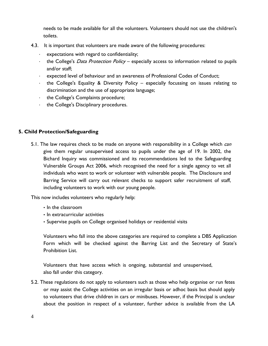needs to be made available for all the volunteers. Volunteers should not use the children's toilets.

- 4.3. It is important that volunteers are made aware of the following procedures:
	- ∙ expectations with regard to confidentiality;
	- ∙ the College's Data Protection Policy especially access to information related to pupils and/or staff;
	- ∙ expected level of behaviour and an awareness of Professional Codes of Conduct;
	- ∙ the College's Equality & Diversity Policy especially focussing on issues relating to discrimination and the use of appropriate language;
	- ∙ the College's Complaints procedure;
	- ∙ the College's Disciplinary procedures.

#### **5. Child Protection/Safeguarding**

5.1. The law requires check to be made on anyone with responsibility in a College which can give them regular unsupervised access to pupils under the age of 19. In 2002, the Bichard Inquiry was commissioned and its recommendations led to the Safeguarding Vulnerable Groups Act 2006, which recognised the need for a single agency to vet all individuals who want to work or volunteer with vulnerable people. The Disclosure and Barring Service will carry out relevant checks to support safer recruitment of staff, including volunteers to work with our young people.

This now includes volunteers who regularly help:

- In the classroom
- In extracurricular activities
- Supervise pupils on College organised holidays or residential visits

Volunteers who fall into the above categories are required to complete a DBS Application Form which will be checked against the Barring List and the Secretary of State's Prohibition List.

Volunteers that have access which is ongoing, substantial and unsupervised, also fall under this category.

5.2. These regulations do not apply to volunteers such as those who help organise or run fetes or may assist the College activities on an irregular basis or adhoc basis but should apply to volunteers that drive children in cars or minibuses. However, if the Principal is unclear about the position in respect of a volunteer, further advice is available from the LA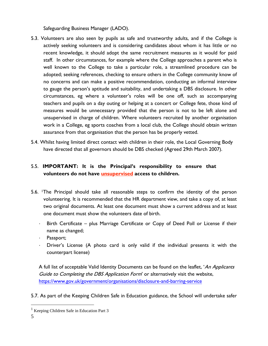Safeguarding Business Manager (LADO).

- 5.3. Volunteers are also seen by pupils as safe and trustworthy adults, and if the College is actively seeking volunteers and is considering candidates about whom it has little or no recent knowledge, it should adopt the same recruitment measures as it would for paid staff. In other circumstances, for example where the College approaches a parent who is well known to the College to take a particular role, a streamlined procedure can be adopted; seeking references, checking to ensure others in the College community know of no concerns and can make a positive recommendation, conducting an informal interview to gauge the person's aptitude and suitability, and undertaking a DBS disclosure. In other circumstances, eg where a volunteer's roles will be one off, such as accompanying teachers and pupils on a day outing or helping at a concert or College fete, those kind of measures would be unnecessary provided that the person is not to be left alone and unsupervised in charge of children. Where volunteers recruited by another organisation work in a College, eg sports coaches from a local club, the College should obtain written assurance from that organisation that the person has be properly vetted.
- 5.4. Whilst having limited direct contact with children in their role, the Local Governing Body have directed that all governors should be DBS checked (Agreed 29th March 2007).

# 5.5. **IMPORTANT: It is the Principal's responsibility to ensure that volunteers do not have unsupervised access to children.**

- 5.6. 1The Principal should take all reasonable steps to confirm the identity of the person volunteering. It is recommended that the HR department view, and take a copy of, at least two original documents. At least one document must show a current address and at least one document must show the volunteers date of birth.
	- ∙ Birth Certificate plus Marriage Certificate or Copy of Deed Poll or License if their name as changed;
	- ∙ Passport;
	- ∙ Driver's License (A photo card is only valid if the individual presents it with the counterpart license)

A full list of acceptable Valid Identity Documents can be found on the leaflet, 'An Applicants Guide to Completing the DBS Application Form' or alternatively visit the website, <https://www.gov.uk/government/organisations/disclosure-and-barring-service>

5.7. As part of the Keeping Children Safe in Education guidance, the School will undertake safer

<sup>&</sup>lt;sup>1</sup> Keeping Children Safe in Education Part 3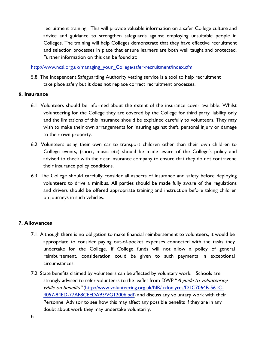recruitment training. This will provide valuable information on a safer College culture and advice and guidance to strengthen safeguards against employing unsuitable people in Colleges. The training will help Colleges demonstrate that they have effective recruitment and selection processes in place that ensure learners are both well taught and protected. Further information on this can be found at:

[http://www.ncsl.org.uk/managing\\_your\\_College/safer-recruitment/index.cfm](http://www.ncsl.org.uk/managing_your_school/safer-recruitment/index.cfm) 

5.8. The Independent Safeguarding Authority vetting service is a tool to help recruitment take place safely but it does not replace correct recruitment processes.

#### **6. Insurance**

- 6.1. Volunteers should be informed about the extent of the insurance cover available. Whilst volunteering for the College they are covered by the College for third party liability only and the limitations of this insurance should be explained carefully to volunteers. They may wish to make their own arrangements for insuring against theft, personal injury or damage to their own property.
- 6.2. Volunteers using their own car to transport children other than their own children to College events, (sport, music etc) should be made aware of the College's policy and advised to check with their car insurance company to ensure that they do not contravene their insurance policy conditions.
- 6.3. The College should carefully consider all aspects of insurance and safety before deploying volunteers to drive a minibus. All parties should be made fully aware of the regulations and drivers should be offered appropriate training and instruction before taking children on journeys in such vehicles.

#### **7. Allowances**

- 7.1. Although there is no obligation to make financial reimbursement to volunteers, it would be appropriate to consider paying out-of-pocket expenses connected with the tasks they undertake for the College. If College funds will not allow a policy of general reimbursement, consideration could be given to such payments in exceptional circumstances.
- 7.2. State benefits claimed by volunteers can be affected by voluntary work. Schools are strongly advised to refer volunteers to the leaflet from DWP "A guide to volunteering while on benefits" [\(http://www.volunteering.org.uk/NR/ rdonlyres/D1C7064B-561C-](http://www.volunteering.org.uk/NR/rdonlyres/D1C7064B-561C-4057-84ED-77AF8CEEDA93/VG12006.pdf)[4057-84ED-77AF8CEEDA93/VG12006.pdf\)](http://www.volunteering.org.uk/NR/rdonlyres/D1C7064B-561C-4057-84ED-77AF8CEEDA93/VG12006.pdf) and discuss any voluntary work with their Personnel Advisor to see how this may affect any possible benefits if they are in any doubt about work they may undertake voluntarily.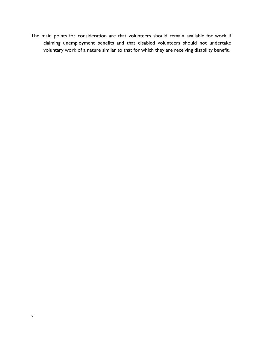The main points for consideration are that volunteers should remain available for work if claiming unemployment benefits and that disabled volunteers should not undertake voluntary work of a nature similar to that for which they are receiving disability benefit.